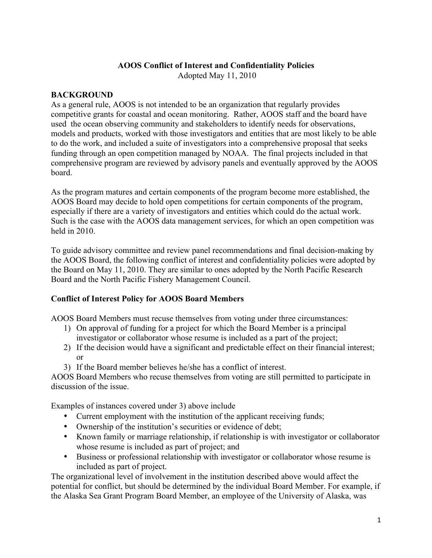### **AOOS Conflict of Interest and Confidentiality Policies**

Adopted May 11, 2010

#### **BACKGROUND**

As a general rule, AOOS is not intended to be an organization that regularly provides competitive grants for coastal and ocean monitoring. Rather, AOOS staff and the board have used the ocean observing community and stakeholders to identify needs for observations, models and products, worked with those investigators and entities that are most likely to be able to do the work, and included a suite of investigators into a comprehensive proposal that seeks funding through an open competition managed by NOAA. The final projects included in that comprehensive program are reviewed by advisory panels and eventually approved by the AOOS board.

As the program matures and certain components of the program become more established, the AOOS Board may decide to hold open competitions for certain components of the program, especially if there are a variety of investigators and entities which could do the actual work. Such is the case with the AOOS data management services, for which an open competition was held in 2010.

To guide advisory committee and review panel recommendations and final decision-making by the AOOS Board, the following conflict of interest and confidentiality policies were adopted by the Board on May 11, 2010. They are similar to ones adopted by the North Pacific Research Board and the North Pacific Fishery Management Council.

### **Conflict of Interest Policy for AOOS Board Members**

AOOS Board Members must recuse themselves from voting under three circumstances:

- 1) On approval of funding for a project for which the Board Member is a principal investigator or collaborator whose resume is included as a part of the project;
- 2) If the decision would have a significant and predictable effect on their financial interest; or
- 3) If the Board member believes he/she has a conflict of interest.

AOOS Board Members who recuse themselves from voting are still permitted to participate in discussion of the issue.

Examples of instances covered under 3) above include

- Current employment with the institution of the applicant receiving funds;
- Ownership of the institution's securities or evidence of debt;
- Known family or marriage relationship, if relationship is with investigator or collaborator whose resume is included as part of project; and
- Business or professional relationship with investigator or collaborator whose resume is included as part of project.

The organizational level of involvement in the institution described above would affect the potential for conflict, but should be determined by the individual Board Member. For example, if the Alaska Sea Grant Program Board Member, an employee of the University of Alaska, was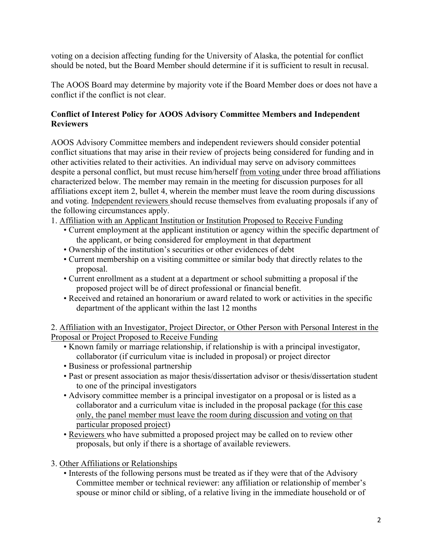voting on a decision affecting funding for the University of Alaska, the potential for conflict should be noted, but the Board Member should determine if it is sufficient to result in recusal.

The AOOS Board may determine by majority vote if the Board Member does or does not have a conflict if the conflict is not clear.

# **Conflict of Interest Policy for AOOS Advisory Committee Members and Independent Reviewers**

AOOS Advisory Committee members and independent reviewers should consider potential conflict situations that may arise in their review of projects being considered for funding and in other activities related to their activities. An individual may serve on advisory committees despite a personal conflict, but must recuse him/herself from voting under three broad affiliations characterized below. The member may remain in the meeting for discussion purposes for all affiliations except item 2, bullet 4, wherein the member must leave the room during discussions and voting. Independent reviewers should recuse themselves from evaluating proposals if any of the following circumstances apply.

- 1. Affiliation with an Applicant Institution or Institution Proposed to Receive Funding
	- Current employment at the applicant institution or agency within the specific department of the applicant, or being considered for employment in that department
	- Ownership of the institution's securities or other evidences of debt
	- Current membership on a visiting committee or similar body that directly relates to the proposal.
	- Current enrollment as a student at a department or school submitting a proposal if the proposed project will be of direct professional or financial benefit.
	- Received and retained an honorarium or award related to work or activities in the specific department of the applicant within the last 12 months

2. Affiliation with an Investigator, Project Director, or Other Person with Personal Interest in the Proposal or Project Proposed to Receive Funding

- Known family or marriage relationship, if relationship is with a principal investigator, collaborator (if curriculum vitae is included in proposal) or project director
- Business or professional partnership
- Past or present association as major thesis/dissertation advisor or thesis/dissertation student to one of the principal investigators
- Advisory committee member is a principal investigator on a proposal or is listed as a collaborator and a curriculum vitae is included in the proposal package (for this case only, the panel member must leave the room during discussion and voting on that particular proposed project)
- Reviewers who have submitted a proposed project may be called on to review other proposals, but only if there is a shortage of available reviewers.

3. Other Affiliations or Relationships

• Interests of the following persons must be treated as if they were that of the Advisory Committee member or technical reviewer: any affiliation or relationship of member's spouse or minor child or sibling, of a relative living in the immediate household or of